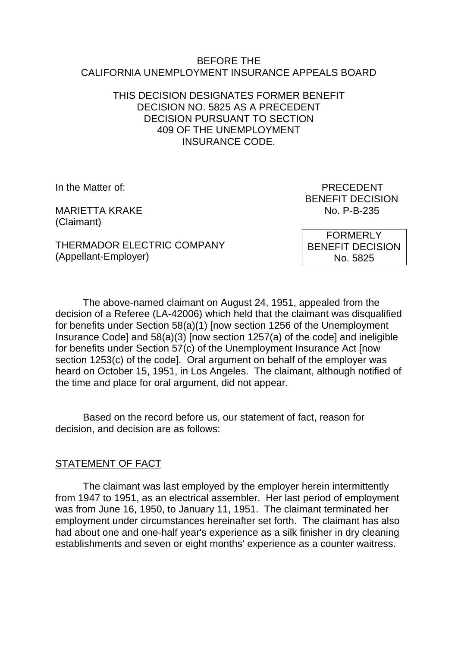#### BEFORE THE CALIFORNIA UNEMPLOYMENT INSURANCE APPEALS BOARD

## THIS DECISION DESIGNATES FORMER BENEFIT DECISION NO. 5825 AS A PRECEDENT DECISION PURSUANT TO SECTION 409 OF THE UNEMPLOYMENT INSURANCE CODE.

MARIETTA KRAKE NO. P-B-235 (Claimant)

In the Matter of: PRECEDENT BENEFIT DECISION

THERMADOR ELECTRIC COMPANY (Appellant-Employer)

FORMERLY BENEFIT DECISION No. 5825

The above-named claimant on August 24, 1951, appealed from the decision of a Referee (LA-42006) which held that the claimant was disqualified for benefits under Section 58(a)(1) [now section 1256 of the Unemployment Insurance Code] and 58(a)(3) [now section 1257(a) of the code] and ineligible for benefits under Section 57(c) of the Unemployment Insurance Act [now section 1253(c) of the code]. Oral argument on behalf of the employer was heard on October 15, 1951, in Los Angeles. The claimant, although notified of the time and place for oral argument, did not appear.

Based on the record before us, our statement of fact, reason for decision, and decision are as follows:

# STATEMENT OF FACT

The claimant was last employed by the employer herein intermittently from 1947 to 1951, as an electrical assembler. Her last period of employment was from June 16, 1950, to January 11, 1951. The claimant terminated her employment under circumstances hereinafter set forth. The claimant has also had about one and one-half year's experience as a silk finisher in dry cleaning establishments and seven or eight months' experience as a counter waitress.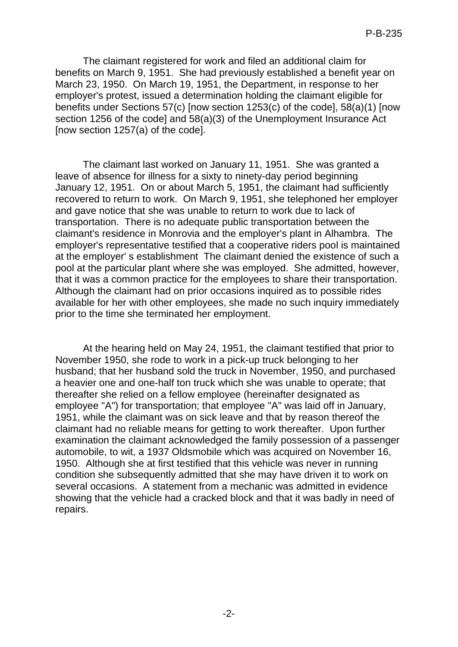The claimant registered for work and filed an additional claim for benefits on March 9, 1951. She had previously established a benefit year on March 23, 1950. On March 19, 1951, the Department, in response to her employer's protest, issued a determination holding the claimant eligible for benefits under Sections 57(c) [now section 1253(c) of the code], 58(a)(1) [now section 1256 of the code] and 58(a)(3) of the Unemployment Insurance Act [now section 1257(a) of the code].

The claimant last worked on January 11, 1951. She was granted a leave of absence for illness for a sixty to ninety-day period beginning January 12, 1951. On or about March 5, 1951, the claimant had sufficiently recovered to return to work. On March 9, 1951, she telephoned her employer and gave notice that she was unable to return to work due to lack of transportation. There is no adequate public transportation between the claimant's residence in Monrovia and the employer's plant in Alhambra. The employer's representative testified that a cooperative riders pool is maintained at the employer' s establishment The claimant denied the existence of such a pool at the particular plant where she was employed. She admitted, however, that it was a common practice for the employees to share their transportation. Although the claimant had on prior occasions inquired as to possible rides available for her with other employees, she made no such inquiry immediately prior to the time she terminated her employment.

At the hearing held on May 24, 1951, the claimant testified that prior to November 1950, she rode to work in a pick-up truck belonging to her husband; that her husband sold the truck in November, 1950, and purchased a heavier one and one-half ton truck which she was unable to operate; that thereafter she relied on a fellow employee (hereinafter designated as employee "A") for transportation; that employee "A" was laid off in January, 1951, while the claimant was on sick leave and that by reason thereof the claimant had no reliable means for getting to work thereafter. Upon further examination the claimant acknowledged the family possession of a passenger automobile, to wit, a 1937 Oldsmobile which was acquired on November 16, 1950. Although she at first testified that this vehicle was never in running condition she subsequently admitted that she may have driven it to work on several occasions. A statement from a mechanic was admitted in evidence showing that the vehicle had a cracked block and that it was badly in need of repairs.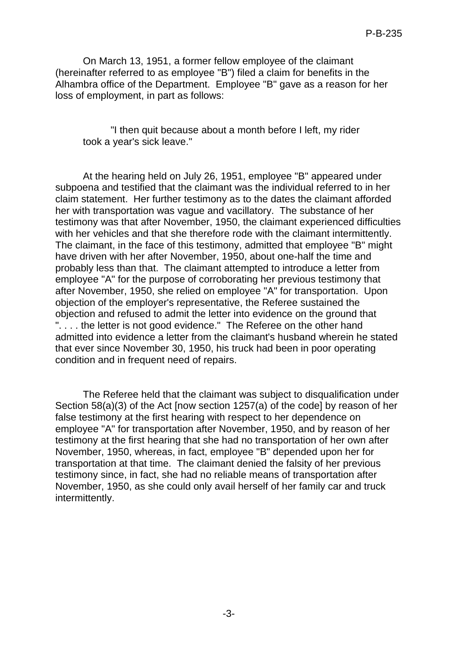On March 13, 1951, a former fellow employee of the claimant (hereinafter referred to as employee "B") filed a claim for benefits in the Alhambra office of the Department. Employee "B" gave as a reason for her loss of employment, in part as follows:

"I then quit because about a month before I left, my rider took a year's sick leave."

At the hearing held on July 26, 1951, employee "B" appeared under subpoena and testified that the claimant was the individual referred to in her claim statement. Her further testimony as to the dates the claimant afforded her with transportation was vague and vacillatory. The substance of her testimony was that after November, 1950, the claimant experienced difficulties with her vehicles and that she therefore rode with the claimant intermittently. The claimant, in the face of this testimony, admitted that employee "B" might have driven with her after November, 1950, about one-half the time and probably less than that. The claimant attempted to introduce a letter from employee "A" for the purpose of corroborating her previous testimony that after November, 1950, she relied on employee "A" for transportation. Upon objection of the employer's representative, the Referee sustained the objection and refused to admit the letter into evidence on the ground that ".... the letter is not good evidence." The Referee on the other hand admitted into evidence a letter from the claimant's husband wherein he stated that ever since November 30, 1950, his truck had been in poor operating condition and in frequent need of repairs.

The Referee held that the claimant was subject to disqualification under Section 58(a)(3) of the Act [now section 1257(a) of the code] by reason of her false testimony at the first hearing with respect to her dependence on employee "A" for transportation after November, 1950, and by reason of her testimony at the first hearing that she had no transportation of her own after November, 1950, whereas, in fact, employee "B" depended upon her for transportation at that time. The claimant denied the falsity of her previous testimony since, in fact, she had no reliable means of transportation after November, 1950, as she could only avail herself of her family car and truck intermittently.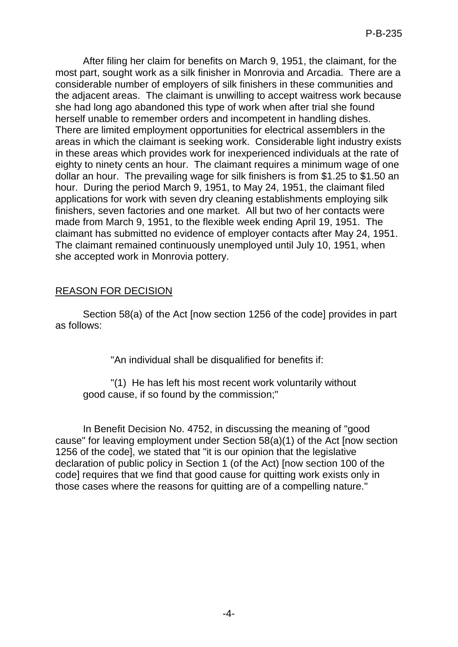After filing her claim for benefits on March 9, 1951, the claimant, for the most part, sought work as a silk finisher in Monrovia and Arcadia. There are a considerable number of employers of silk finishers in these communities and the adjacent areas. The claimant is unwilling to accept waitress work because she had long ago abandoned this type of work when after trial she found herself unable to remember orders and incompetent in handling dishes. There are limited employment opportunities for electrical assemblers in the areas in which the claimant is seeking work. Considerable light industry exists in these areas which provides work for inexperienced individuals at the rate of eighty to ninety cents an hour. The claimant requires a minimum wage of one dollar an hour. The prevailing wage for silk finishers is from \$1.25 to \$1.50 an hour. During the period March 9, 1951, to May 24, 1951, the claimant filed applications for work with seven dry cleaning establishments employing silk finishers, seven factories and one market. All but two of her contacts were made from March 9, 1951, to the flexible week ending April 19, 1951. The claimant has submitted no evidence of employer contacts after May 24, 1951. The claimant remained continuously unemployed until July 10, 1951, when she accepted work in Monrovia pottery.

# REASON FOR DECISION

Section 58(a) of the Act [now section 1256 of the code] provides in part as follows:

"An individual shall be disqualified for benefits if:

"(1) He has left his most recent work voluntarily without good cause, if so found by the commission;"

In Benefit Decision No. 4752, in discussing the meaning of "good cause" for leaving employment under Section 58(a)(1) of the Act [now section 1256 of the code], we stated that "it is our opinion that the legislative declaration of public policy in Section 1 (of the Act) [now section 100 of the code] requires that we find that good cause for quitting work exists only in those cases where the reasons for quitting are of a compelling nature."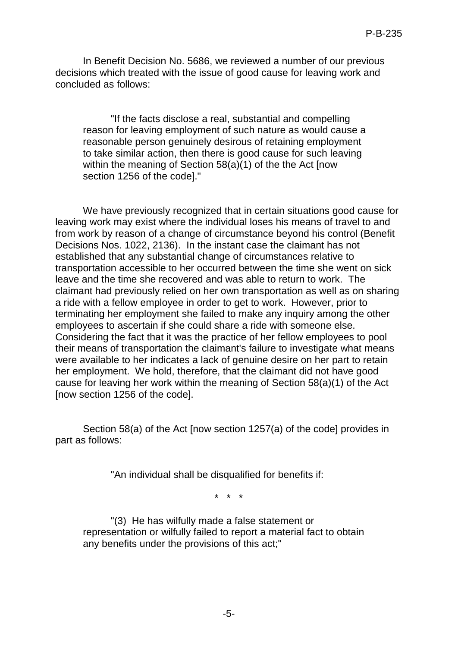In Benefit Decision No. 5686, we reviewed a number of our previous decisions which treated with the issue of good cause for leaving work and concluded as follows:

"If the facts disclose a real, substantial and compelling reason for leaving employment of such nature as would cause a reasonable person genuinely desirous of retaining employment to take similar action, then there is good cause for such leaving within the meaning of Section 58(a)(1) of the the Act [now section 1256 of the code]."

We have previously recognized that in certain situations good cause for leaving work may exist where the individual loses his means of travel to and from work by reason of a change of circumstance beyond his control (Benefit Decisions Nos. 1022, 2136). In the instant case the claimant has not established that any substantial change of circumstances relative to transportation accessible to her occurred between the time she went on sick leave and the time she recovered and was able to return to work. The claimant had previously relied on her own transportation as well as on sharing a ride with a fellow employee in order to get to work. However, prior to terminating her employment she failed to make any inquiry among the other employees to ascertain if she could share a ride with someone else. Considering the fact that it was the practice of her fellow employees to pool their means of transportation the claimant's failure to investigate what means were available to her indicates a lack of genuine desire on her part to retain her employment. We hold, therefore, that the claimant did not have good cause for leaving her work within the meaning of Section 58(a)(1) of the Act [now section 1256 of the code].

Section 58(a) of the Act [now section 1257(a) of the code] provides in part as follows:

"An individual shall be disqualified for benefits if:

\* \* \*

"(3) He has wilfully made a false statement or representation or wilfully failed to report a material fact to obtain any benefits under the provisions of this act;"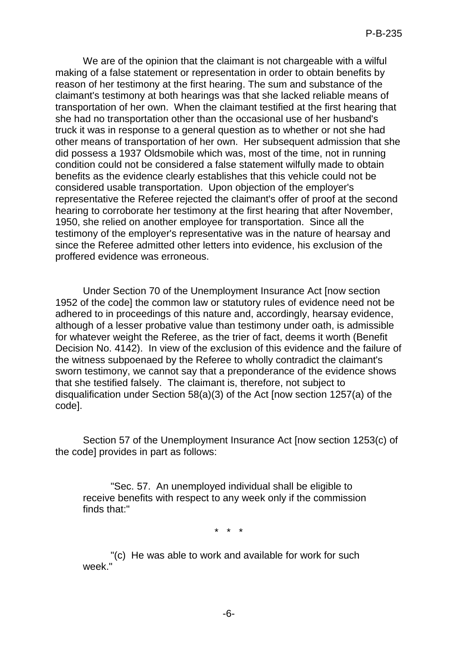We are of the opinion that the claimant is not chargeable with a wilful making of a false statement or representation in order to obtain benefits by reason of her testimony at the first hearing. The sum and substance of the claimant's testimony at both hearings was that she lacked reliable means of transportation of her own. When the claimant testified at the first hearing that she had no transportation other than the occasional use of her husband's truck it was in response to a general question as to whether or not she had other means of transportation of her own. Her subsequent admission that she did possess a 1937 Oldsmobile which was, most of the time, not in running condition could not be considered a false statement wilfully made to obtain benefits as the evidence clearly establishes that this vehicle could not be considered usable transportation. Upon objection of the employer's representative the Referee rejected the claimant's offer of proof at the second hearing to corroborate her testimony at the first hearing that after November, 1950, she relied on another employee for transportation. Since all the testimony of the employer's representative was in the nature of hearsay and since the Referee admitted other letters into evidence, his exclusion of the proffered evidence was erroneous.

Under Section 70 of the Unemployment Insurance Act [now section 1952 of the code] the common law or statutory rules of evidence need not be adhered to in proceedings of this nature and, accordingly, hearsay evidence, although of a lesser probative value than testimony under oath, is admissible for whatever weight the Referee, as the trier of fact, deems it worth (Benefit Decision No. 4142). In view of the exclusion of this evidence and the failure of the witness subpoenaed by the Referee to wholly contradict the claimant's sworn testimony, we cannot say that a preponderance of the evidence shows that she testified falsely. The claimant is, therefore, not subject to disqualification under Section 58(a)(3) of the Act [now section 1257(a) of the code].

Section 57 of the Unemployment Insurance Act [now section 1253(c) of the code] provides in part as follows:

"Sec. 57. An unemployed individual shall be eligible to receive benefits with respect to any week only if the commission finds that:"

\* \* \*

"(c) He was able to work and available for work for such week."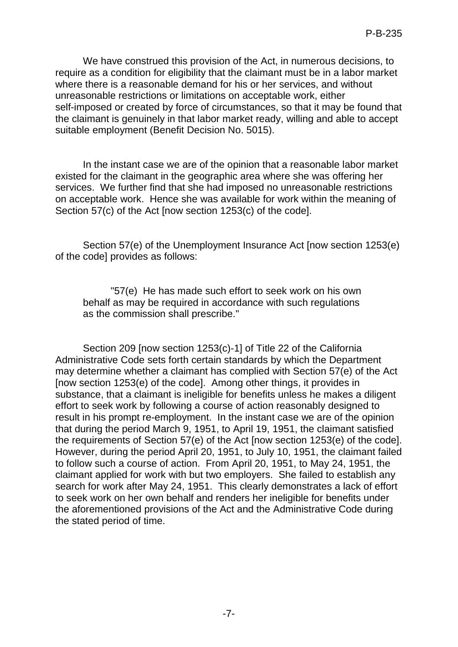We have construed this provision of the Act, in numerous decisions, to require as a condition for eligibility that the claimant must be in a labor market where there is a reasonable demand for his or her services, and without unreasonable restrictions or limitations on acceptable work, either self-imposed or created by force of circumstances, so that it may be found that the claimant is genuinely in that labor market ready, willing and able to accept suitable employment (Benefit Decision No. 5015).

In the instant case we are of the opinion that a reasonable labor market existed for the claimant in the geographic area where she was offering her services. We further find that she had imposed no unreasonable restrictions on acceptable work. Hence she was available for work within the meaning of Section 57(c) of the Act [now section 1253(c) of the code].

Section 57(e) of the Unemployment Insurance Act [now section 1253(e) of the code] provides as follows:

"57(e) He has made such effort to seek work on his own behalf as may be required in accordance with such regulations as the commission shall prescribe."

Section 209 [now section 1253(c)-1] of Title 22 of the California Administrative Code sets forth certain standards by which the Department may determine whether a claimant has complied with Section 57(e) of the Act [now section 1253(e) of the code]. Among other things, it provides in substance, that a claimant is ineligible for benefits unless he makes a diligent effort to seek work by following a course of action reasonably designed to result in his prompt re-employment. In the instant case we are of the opinion that during the period March 9, 1951, to April 19, 1951, the claimant satisfied the requirements of Section 57(e) of the Act [now section 1253(e) of the code]. However, during the period April 20, 1951, to July 10, 1951, the claimant failed to follow such a course of action. From April 20, 1951, to May 24, 1951, the claimant applied for work with but two employers. She failed to establish any search for work after May 24, 1951. This clearly demonstrates a lack of effort to seek work on her own behalf and renders her ineligible for benefits under the aforementioned provisions of the Act and the Administrative Code during the stated period of time.